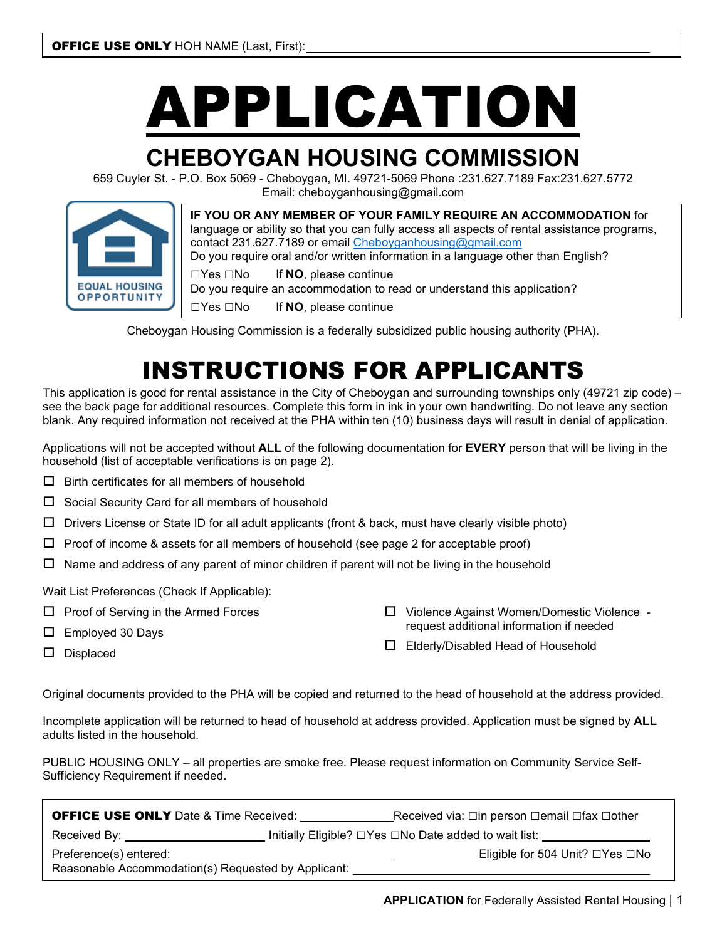# APPLICATION

# **CHEBOYGAN HOUSING COMMISSION**

659 Cuyler St. - P.O. Box 5069 - Cheboygan, MI. 49721-5069 Phone :231.627.7189 Fax:231.627.5772 Email: cheboyganhousing@gmail.com



**IF YOU OR ANY MEMBER OF YOUR FAMILY REQUIRE AN ACCOMMODATION** for language or ability so that you can fully access all aspects of rental assistance programs, contact 231.627.7189 or email [Cheboyganhousing@gmail.com](mailto:Cheboyganhousing@gmail.com) Do you require oral and/or written information in a language other than English? □Yes □No If **NO**, please continue Do you require an accommodation to read or understand this application?

□Yes □No If **NO**, please continue

Cheboygan Housing Commission is a federally subsidized public housing authority (PHA).

# INSTRUCTIONS FOR APPLICANTS

This application is good for rental assistance in the City of Cheboygan and surrounding townships only (49721 zip code) – see the back page for additional resources. Complete this form in ink in your own handwriting. Do not leave any section blank. Any required information not received at the PHA within ten (10) business days will result in denial of application.

Applications will not be accepted without **ALL** of the following documentation for **EVERY** person that will be living in the household (list of acceptable verifications is on page 2).

- $\Box$  Birth certificates for all members of household
- $\square$  Social Security Card for all members of household
- $\Box$  Drivers License or State ID for all adult applicants (front & back, must have clearly visible photo)
- $\Box$  Proof of income & assets for all members of household (see page 2 for acceptable proof)
- $\square$  Name and address of any parent of minor children if parent will not be living in the household

Wait List Preferences (Check If Applicable):

- □ Proof of Serving in the Armed Forces
- □ Employed 30 Days

request additional information if needed

□ Violence Against Women/Domestic Violence -

□ Displaced

□ Elderly/Disabled Head of Household

Original documents provided to the PHA will be copied and returned to the head of household at the address provided.

Incomplete application will be returned to head of household at address provided. Application must be signed by **ALL** adults listed in the household.

PUBLIC HOUSING ONLY – all properties are smoke free. Please request information on Community Service Self-Sufficiency Requirement if needed.

| <b>OFFICE USE ONLY</b> Date & Time Received:        | Received via: □in person □email □fax □other |                                                         |  |  |
|-----------------------------------------------------|---------------------------------------------|---------------------------------------------------------|--|--|
| Received By:                                        |                                             | Initially Eligible? □ Yes □ No Date added to wait list: |  |  |
| Preference(s) entered:                              |                                             | Eligible for 504 Unit? □Yes □No                         |  |  |
| Reasonable Accommodation(s) Requested by Applicant: |                                             |                                                         |  |  |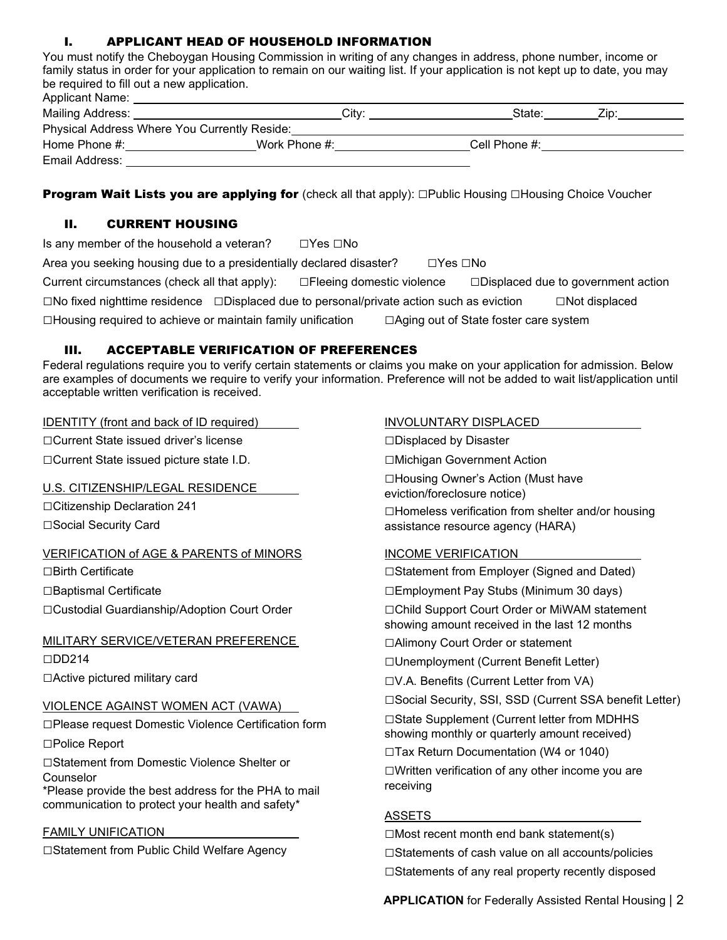#### I. APPLICANT HEAD OF HOUSEHOLD INFORMATION

You must notify the Cheboygan Housing Commission in writing of any changes in address, phone number, income or family status in order for your application to remain on our waiting list. If your application is not kept up to date, you may be required to fill out a new application.

| <b>Applicant Name:</b> |                                              |               |      |
|------------------------|----------------------------------------------|---------------|------|
| Mailing Address:       | City:                                        | State:        | Zip: |
|                        | Physical Address Where You Currently Reside: |               |      |
| Home Phone #:          | Work Phone #:                                | Cell Phone #: |      |
| Email Address:         |                                              |               |      |

Program Wait Lists you are applying for (check all that apply): □Public Housing □Housing Choice Voucher

#### II. CURRENT HOUSING

| Is any member of the household a veteran?                                                            | ⊡Yes ⊡No |          |                                         |                                              |
|------------------------------------------------------------------------------------------------------|----------|----------|-----------------------------------------|----------------------------------------------|
| Area you seeking housing due to a presidentially declared disaster?                                  |          | ⊡Yes ⊡No |                                         |                                              |
| Current circumstances (check all that apply): $\square$ Fleeing domestic violence                    |          |          |                                         | $\square$ Displaced due to government action |
| $\Box$ No fixed nighttime residence $\Box$ Displaced due to personal/private action such as eviction |          |          |                                         | $\Box$ Not displaced                         |
| $\Box$ Housing required to achieve or maintain family unification                                    |          |          | □ Aging out of State foster care system |                                              |

#### III. ACCEPTABLE VERIFICATION OF PREFERENCES

Federal regulations require you to verify certain statements or claims you make on your application for admission. Below are examples of documents we require to verify your information. Preference will not be added to wait list/application until acceptable written verification is received.

IDENTITY (front and back of ID required)

□Current State issued driver's license

□Current State issued picture state I.D.

#### U.S. CITIZENSHIP/LEGAL RESIDENCE

□Citizenship Declaration 241

□Social Security Card

#### VERIFICATION of AGE & PARENTS of MINORS

□Birth Certificate

□Baptismal Certificate

□Custodial Guardianship/Adoption Court Order

#### MILITARY SERVICE/VETERAN PREFERENCE □DD214

□Active pictured military card

#### VIOLENCE AGAINST WOMEN ACT (VAWA)

□Please request Domestic Violence Certification form

□Police Report

□Statement from Domestic Violence Shelter or Counselor

\*Please provide the best address for the PHA to mail communication to protect your health and safety\*

#### FAMILY UNIFICATION

□Statement from Public Child Welfare Agency

#### INVOLUNTARY DISPLACED

□Displaced by Disaster

□Michigan Government Action

□Housing Owner's Action (Must have eviction/foreclosure notice)

□Homeless verification from shelter and/or housing assistance resource agency (HARA)

#### INCOME VERIFICATION

□Statement from Employer (Signed and Dated)

□Employment Pay Stubs (Minimum 30 days)

□Child Support Court Order or MiWAM statement showing amount received in the last 12 months

□Alimony Court Order or statement

□Unemployment (Current Benefit Letter)

□V.A. Benefits (Current Letter from VA)

□Social Security, SSI, SSD (Current SSA benefit Letter)

□State Supplement (Current letter from MDHHS

showing monthly or quarterly amount received)

□Tax Return Documentation (W4 or 1040)

 $\Box$ Written verification of any other income you are receiving

#### ASSETS

 $\Box$ Most recent month end bank statement(s)  $\square$ Statements of cash value on all accounts/policies  $\Box$ Statements of any real property recently disposed

**APPLICATION** for Federally Assisted Rental Housing | 2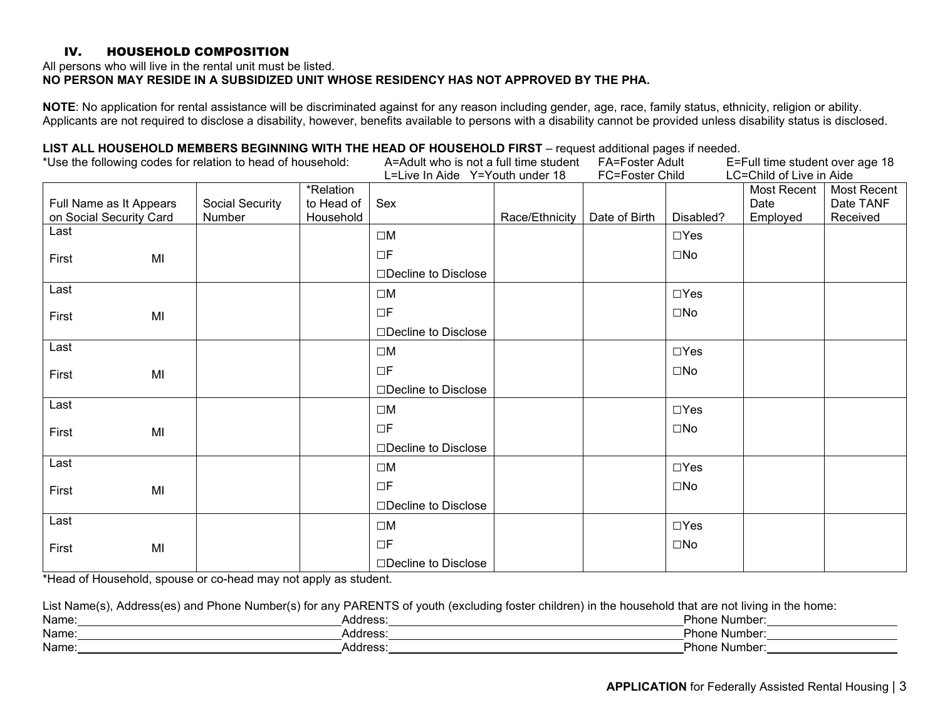#### IV. HOUSEHOLD COMPOSITION

All persons who will live in the rental unit must be listed.

#### **NO PERSON MAY RESIDE IN A SUBSIDIZED UNIT WHOSE RESIDENCY HAS NOT APPROVED BY THE PHA.**

**NOTE**: No application for rental assistance will be discriminated against for any reason including gender, age, race, family status, ethnicity, religion or ability. Applicants are not required to disclose a disability, however, benefits available to persons with a disability cannot be provided unless disability status is disclosed.

#### **LIST ALL HOUSEHOLD MEMBERS BEGINNING WITH THE HEAD OF HOUSEHOLD FIRST** – request additional pages if needed.

| *Use the following codes for relation to head of household: |    |                           |                                      | - הסטטטה משמחים משפח הסטטי היה המסטטה וספט המסטימה היה המסטימה הסטטימית הסטטימית הסטטימית<br>A=Adult who is not a full time student<br>L=Live In Aide Y=Youth under 18 |                | FA=Foster Adult<br>FC=Foster Child |              | E=Full time student over age 18<br>LC=Child of Live in Aide |                                      |
|-------------------------------------------------------------|----|---------------------------|--------------------------------------|------------------------------------------------------------------------------------------------------------------------------------------------------------------------|----------------|------------------------------------|--------------|-------------------------------------------------------------|--------------------------------------|
| Full Name as It Appears<br>on Social Security Card          |    | Social Security<br>Number | *Relation<br>to Head of<br>Household | Sex                                                                                                                                                                    | Race/Ethnicity | Date of Birth                      | Disabled?    | Most Recent<br>Date<br>Employed                             | Most Recent<br>Date TANF<br>Received |
| Last                                                        |    |                           |                                      | $\square M$                                                                                                                                                            |                |                                    | $\Box$ Yes   |                                                             |                                      |
| First                                                       | MI |                           |                                      | $\Box F$<br>□Decline to Disclose                                                                                                                                       |                |                                    | $\square$ No |                                                             |                                      |
| Last                                                        |    |                           |                                      |                                                                                                                                                                        |                |                                    | $\Box$ Yes   |                                                             |                                      |
|                                                             |    |                           |                                      | $\square M$                                                                                                                                                            |                |                                    |              |                                                             |                                      |
| First                                                       | MI |                           |                                      | $\Box F$<br>□Decline to Disclose                                                                                                                                       |                |                                    | $\square$ No |                                                             |                                      |
| Last                                                        |    |                           |                                      | $\square M$                                                                                                                                                            |                |                                    | $\Box$ Yes   |                                                             |                                      |
| First                                                       | MI |                           |                                      | ΠF                                                                                                                                                                     |                |                                    | $\square$ No |                                                             |                                      |
|                                                             |    |                           |                                      | □Decline to Disclose                                                                                                                                                   |                |                                    |              |                                                             |                                      |
| Last                                                        |    |                           |                                      | $\square M$                                                                                                                                                            |                |                                    | $\Box$ Yes   |                                                             |                                      |
| First                                                       | MI |                           |                                      | $\Box F$                                                                                                                                                               |                |                                    | $\square$ No |                                                             |                                      |
|                                                             |    |                           |                                      | □Decline to Disclose                                                                                                                                                   |                |                                    |              |                                                             |                                      |
| Last                                                        |    |                           |                                      | $\square M$                                                                                                                                                            |                |                                    | $\Box$ Yes   |                                                             |                                      |
| First                                                       | MI |                           |                                      | $\Box F$                                                                                                                                                               |                |                                    | $\square$ No |                                                             |                                      |
|                                                             |    |                           |                                      | $\Box$ Decline to Disclose                                                                                                                                             |                |                                    |              |                                                             |                                      |
| Last                                                        |    |                           |                                      | $\square M$                                                                                                                                                            |                |                                    | $\Box$ Yes   |                                                             |                                      |
| First                                                       | MI |                           |                                      | $\Box F$                                                                                                                                                               |                |                                    | $\square$ No |                                                             |                                      |
|                                                             |    |                           |                                      | □Decline to Disclose                                                                                                                                                   |                |                                    |              |                                                             |                                      |

\*Head of Household, spouse or co-head may not apply as student.

List Name(s), Address(es) and Phone Number(s) for any PARENTS of youth (excluding foster children) in the household that are not living in the home:

| Name  | $1$ rooo $\cdot$<br>ww. | Numbei<br>≀n∩n   |
|-------|-------------------------|------------------|
| Name  | $\cdots$<br>. סטע<br>ww | ⊇hon⊢<br>Numbei  |
| Name. | . .<br>voo.<br>. .uu    | – Phr∵<br>Number |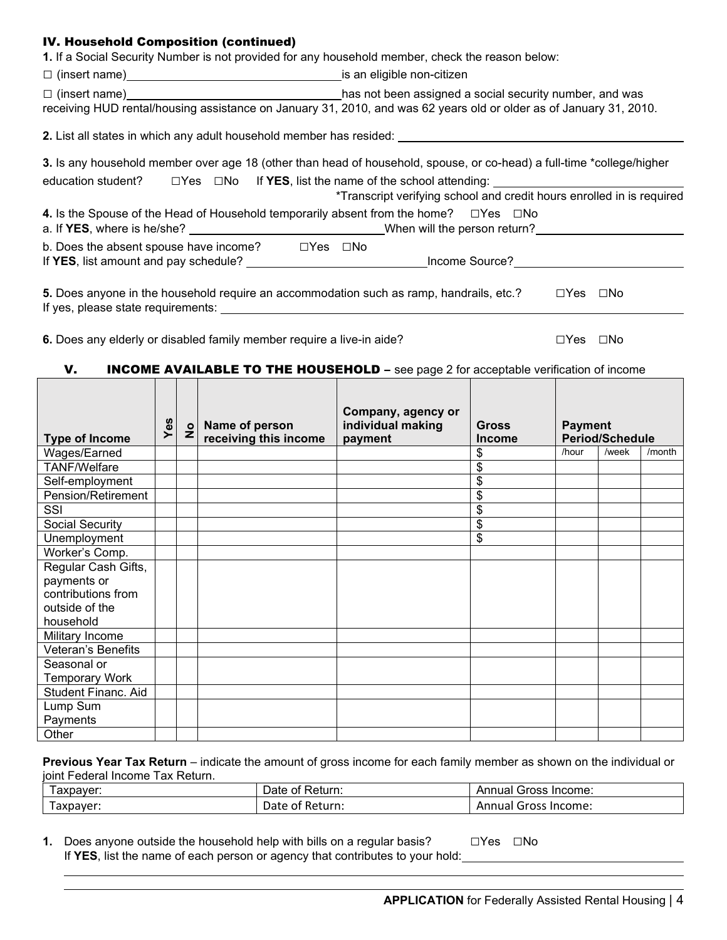#### IV. Household Composition (continued)

**1.** If a Social Security Number is not provided for any household member, check the reason below:

| □ (insert name)<br>□ (insert name)                                                                                            | is an eligible non-citizen                                                                                                                                                                                                    |  |  |  |
|-------------------------------------------------------------------------------------------------------------------------------|-------------------------------------------------------------------------------------------------------------------------------------------------------------------------------------------------------------------------------|--|--|--|
| $\Box$ (insert name)                                                                                                          | has not been assigned a social security number, and was<br>receiving HUD rental/housing assistance on January 31, 2010, and was 62 years old or older as of January 31, 2010.                                                 |  |  |  |
| 2. List all states in which any adult household member has resided:                                                           |                                                                                                                                                                                                                               |  |  |  |
|                                                                                                                               | 3. Is any household member over age 18 (other than head of household, spouse, or co-head) a full-time *college/higher<br>education student? $\square$ Yes $\square$ No If <b>YES</b> , list the name of the school attending: |  |  |  |
|                                                                                                                               | *Transcript verifying school and credit hours enrolled in is required                                                                                                                                                         |  |  |  |
| 4. Is the Spouse of the Head of Household temporarily absent from the home? $\square$ Yes $\square$ No                        | a. If YES, where is he/she? _____________________________When will the person return?______________                                                                                                                           |  |  |  |
| b. Does the absent spouse have income?<br>$\Box$ Yes $\Box$ No<br>If YES, list amount and pay schedule?                       | Income Source?                                                                                                                                                                                                                |  |  |  |
| 5. Does anyone in the household require an accommodation such as ramp, handrails, etc.?<br>If yes, please state requirements: | $\square$ No<br>$\Box Y$ es                                                                                                                                                                                                   |  |  |  |

**6.** Does any elderly or disabled family member require a live-in aide? □Yes □Yes □No

#### V. **INCOME AVAILABLE TO THE HOUSEHOLD** - see page 2 for acceptable verification of income

| <b>Type of Income</b> | Yes | $\frac{1}{2}$ | Name of person<br>receiving this income | Company, agency or<br>individual making<br>payment | <b>Gross</b><br><b>Income</b> | <b>Payment</b> | <b>Period/Schedule</b> |        |
|-----------------------|-----|---------------|-----------------------------------------|----------------------------------------------------|-------------------------------|----------------|------------------------|--------|
| Wages/Earned          |     |               |                                         |                                                    | \$                            | /hour          | /week                  | /month |
| <b>TANF/Welfare</b>   |     |               |                                         |                                                    | \$                            |                |                        |        |
| Self-employment       |     |               |                                         |                                                    | \$                            |                |                        |        |
| Pension/Retirement    |     |               |                                         |                                                    | \$                            |                |                        |        |
| SSI                   |     |               |                                         |                                                    | \$                            |                |                        |        |
| Social Security       |     |               |                                         |                                                    | \$                            |                |                        |        |
| Unemployment          |     |               |                                         |                                                    | \$                            |                |                        |        |
| Worker's Comp.        |     |               |                                         |                                                    |                               |                |                        |        |
| Regular Cash Gifts,   |     |               |                                         |                                                    |                               |                |                        |        |
| payments or           |     |               |                                         |                                                    |                               |                |                        |        |
| contributions from    |     |               |                                         |                                                    |                               |                |                        |        |
| outside of the        |     |               |                                         |                                                    |                               |                |                        |        |
| household             |     |               |                                         |                                                    |                               |                |                        |        |
| Military Income       |     |               |                                         |                                                    |                               |                |                        |        |
| Veteran's Benefits    |     |               |                                         |                                                    |                               |                |                        |        |
| Seasonal or           |     |               |                                         |                                                    |                               |                |                        |        |
| <b>Temporary Work</b> |     |               |                                         |                                                    |                               |                |                        |        |
| Student Financ. Aid   |     |               |                                         |                                                    |                               |                |                        |        |
| Lump Sum              |     |               |                                         |                                                    |                               |                |                        |        |
| Payments              |     |               |                                         |                                                    |                               |                |                        |        |
| Other                 |     |               |                                         |                                                    |                               |                |                        |        |

**Previous Year Tax Return** – indicate the amount of gross income for each family member as shown on the individual or joint Federal Income Tax Return.

| axpaver: | Return:<br>⊃ate∴<br>0t            | Gross Income:<br>Annual        |
|----------|-----------------------------------|--------------------------------|
| axpayer: | Return.<br>ـ ∟<br>Udic -<br>_____ | . Income:<br>Annual<br>' Gross |

**1.** Does anyone outside the household help with bills on a regular basis? □Yes □No If **YES**, list the name of each person or agency that contributes to your hold: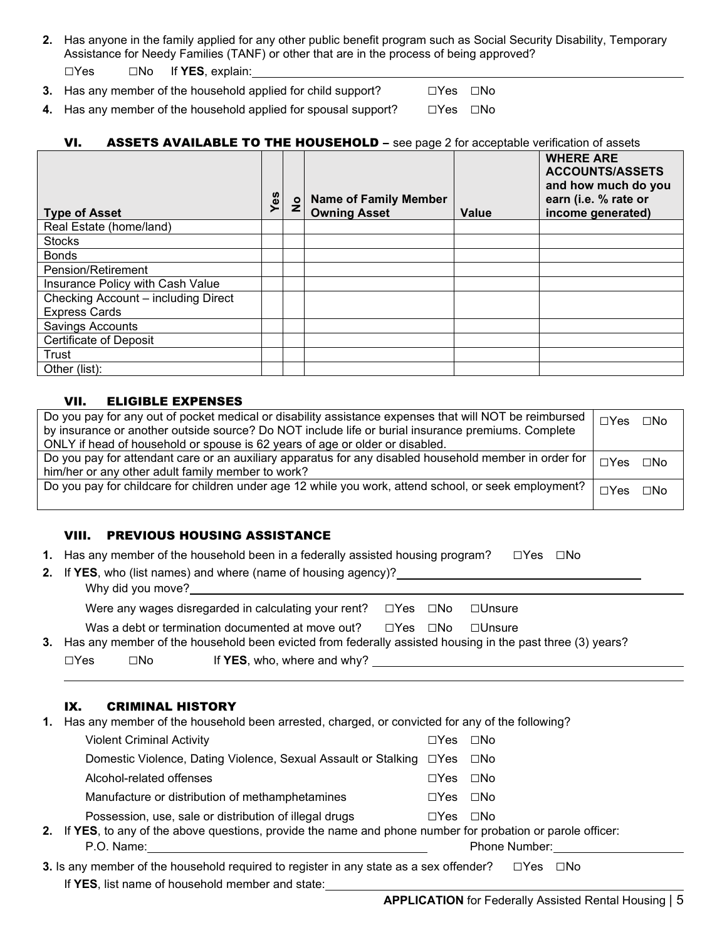**2.** Has anyone in the family applied for any other public benefit program such as Social Security Disability, Temporary Assistance for Needy Families (TANF) or other that are in the process of being approved?

□Yes □No If **YES**, explain:

**3.** Has any member of the household applied for child support? □Yes □No

**4.** Has any member of the household applied for spousal support? □Yes □No

#### VI. ASSETS AVAILABLE TO THE HOUSEHOLD - see page 2 for acceptable verification of assets

| <b>Type of Asset</b>                | Yes | $\frac{1}{2}$ | <b>Name of Family Member</b><br><b>Owning Asset</b> | <b>Value</b> | <b>WHERE ARE</b><br><b>ACCOUNTS/ASSETS</b><br>and how much do you<br>earn (i.e. % rate or<br>income generated) |
|-------------------------------------|-----|---------------|-----------------------------------------------------|--------------|----------------------------------------------------------------------------------------------------------------|
| Real Estate (home/land)             |     |               |                                                     |              |                                                                                                                |
| <b>Stocks</b>                       |     |               |                                                     |              |                                                                                                                |
| <b>Bonds</b>                        |     |               |                                                     |              |                                                                                                                |
| Pension/Retirement                  |     |               |                                                     |              |                                                                                                                |
| Insurance Policy with Cash Value    |     |               |                                                     |              |                                                                                                                |
| Checking Account - including Direct |     |               |                                                     |              |                                                                                                                |
| <b>Express Cards</b>                |     |               |                                                     |              |                                                                                                                |
| <b>Savings Accounts</b>             |     |               |                                                     |              |                                                                                                                |
| <b>Certificate of Deposit</b>       |     |               |                                                     |              |                                                                                                                |
| Trust                               |     |               |                                                     |              |                                                                                                                |
| Other (list):                       |     |               |                                                     |              |                                                                                                                |

#### VII. ELIGIBLE EXPENSES

| Do you pay for any out of pocket medical or disability assistance expenses that will NOT be reimbursed |                       |  |  |  |  |  |
|--------------------------------------------------------------------------------------------------------|-----------------------|--|--|--|--|--|
| by insurance or another outside source? Do NOT include life or burial insurance premiums. Complete     |                       |  |  |  |  |  |
| ONLY if head of household or spouse is 62 years of age or older or disabled.                           |                       |  |  |  |  |  |
| Do you pay for attendant care or an auxiliary apparatus for any disabled household member in order for | $\Box$ Yes $\Box$ No  |  |  |  |  |  |
| him/her or any other adult family member to work?                                                      |                       |  |  |  |  |  |
| Do you pay for childcare for children under age 12 while you work, attend school, or seek employment?  | $\Box Y$ es $\Box$ No |  |  |  |  |  |
|                                                                                                        |                       |  |  |  |  |  |

#### VIII. PREVIOUS HOUSING ASSISTANCE

|  | 1. Has any member of the household been in a federally assisted housing program? $\square$ Yes $\square$ No |  |  |
|--|-------------------------------------------------------------------------------------------------------------|--|--|
|--|-------------------------------------------------------------------------------------------------------------|--|--|

|  |  |  |  | 2. If YES, who (list names) and where (name of housing agency)?_ |  |  |  |
|--|--|--|--|------------------------------------------------------------------|--|--|--|
|--|--|--|--|------------------------------------------------------------------|--|--|--|

| Why did you move? |  |
|-------------------|--|
|                   |  |

|  | Was a debt or termination documented at move out? |  |  | ⊟Yes ⊡No ⊟Unsure |
|--|---------------------------------------------------|--|--|------------------|
|--|---------------------------------------------------|--|--|------------------|

□Yes □No If **YES**, who, where and why?

#### IX. CRIMINAL HISTORY

|  | 1. Has any member of the household been arrested, charged, or convicted for any of the following? |  |  |  |  |  |  |
|--|---------------------------------------------------------------------------------------------------|--|--|--|--|--|--|
|--|---------------------------------------------------------------------------------------------------|--|--|--|--|--|--|

| <b>Violent Criminal Activity</b>                                                                                                                                       | $\Box$ Yes           | $\square$ No  |
|------------------------------------------------------------------------------------------------------------------------------------------------------------------------|----------------------|---------------|
| Domestic Violence, Dating Violence, Sexual Assault or Stalking □ Yes □ No                                                                                              |                      |               |
| Alcohol-related offenses                                                                                                                                               | $\Box$ Yes $\Box$ No |               |
| Manufacture or distribution of methamphetamines                                                                                                                        | $\Box$ Yes $\Box$ No |               |
| Possession, use, sale or distribution of illegal drugs<br>2. If YES, to any of the above questions, provide the name and phone number for probation or parole officer: | $\Box$ Yes $\Box$ No |               |
| P.O. Name:                                                                                                                                                             |                      | Phone Number: |
| 3. Is any member of the household required to register in any state as a sex offender?                                                                                 |                      |               |

If **YES**, list name of household member and state: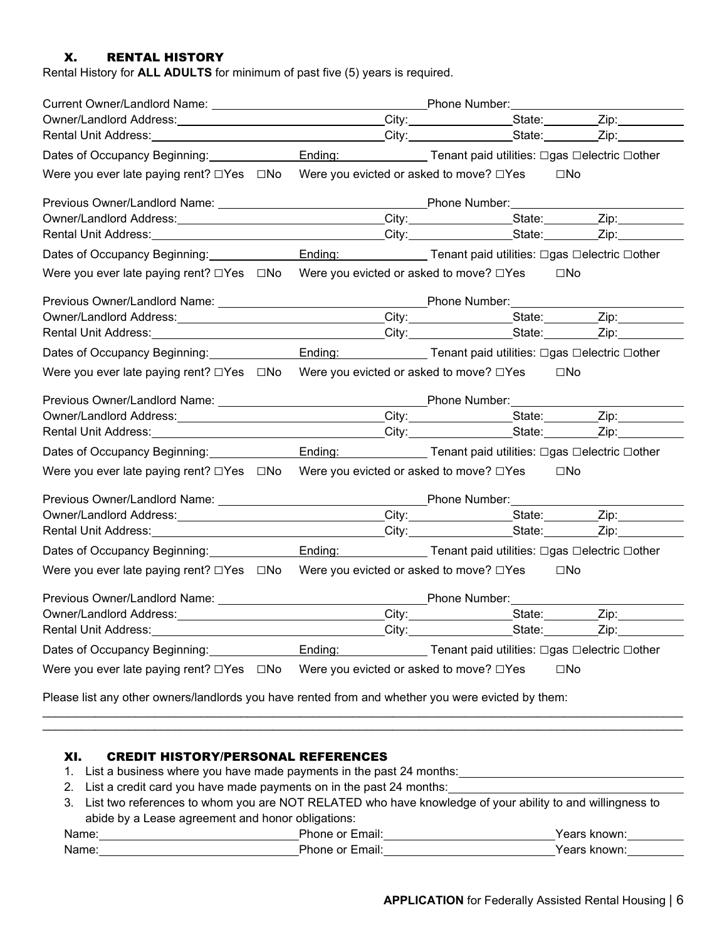#### X. RENTAL HISTORY

Rental History for **ALL ADULTS** for minimum of past five (5) years is required.

| Owner/Landlord Address: ________________________________City: ________________State: _________Zip: __________            |                                         |                                              |              |
|--------------------------------------------------------------------------------------------------------------------------|-----------------------------------------|----------------------------------------------|--------------|
|                                                                                                                          |                                         |                                              |              |
| Dates of Occupancy Beginning: Ending: Ending: Tenant paid utilities: □gas □electric □other                               |                                         |                                              |              |
| Were you ever late paying rent? □Yes □No Were you evicted or asked to move? □Yes                                         |                                         |                                              | $\square$ No |
|                                                                                                                          |                                         |                                              |              |
| Owner/Landlord Address: City: City: State: Zip: Zip:                                                                     |                                         |                                              |              |
|                                                                                                                          |                                         |                                              |              |
| Dates of Occupancy Beginning: Ending: Ending: Ending: Tenant paid utilities: □gas □electric □other                       |                                         |                                              |              |
| Were you ever late paying rent? $\square$ Yes $\square$ No Were you evicted or asked to move? $\square$ Yes $\square$ No |                                         |                                              |              |
|                                                                                                                          |                                         |                                              |              |
| Owner/Landlord Address: City: City: City: State: Zip: Zip:                                                               |                                         |                                              |              |
|                                                                                                                          |                                         |                                              |              |
| Dates of Occupancy Beginning: Ending: Ending: Ending: Tenant paid utilities: □gas □electric □other                       |                                         |                                              |              |
| Were you ever late paying rent? $\square$ Yes $\square$ No Were you evicted or asked to move? $\square$ Yes $\square$ No |                                         |                                              |              |
|                                                                                                                          |                                         |                                              |              |
| Owner/Landlord Address: ________________________________City: _________________State: _________Zip: __________           |                                         |                                              |              |
|                                                                                                                          |                                         |                                              |              |
| Dates of Occupancy Beginning: Ending: Ending: Tenant paid utilities: □gas □electric □other                               |                                         |                                              |              |
| Were you ever late paying rent? □Yes □No Were you evicted or asked to move? □Yes □No                                     |                                         |                                              |              |
|                                                                                                                          |                                         |                                              |              |
| Owner/Landlord Address: ________________________________City: ________________State: ________Zip: ____________           |                                         |                                              |              |
|                                                                                                                          |                                         |                                              |              |
| Dates of Occupancy Beginning: Ending: Ending: Ending: Tenant paid utilities: □gas □electric □other                       |                                         |                                              |              |
| Were you ever late paying rent? □Yes □No Were you evicted or asked to move? □Yes                                         |                                         |                                              | $\square$ No |
|                                                                                                                          |                                         |                                              |              |
|                                                                                                                          |                                         |                                              |              |
| Rental Unit Address:                                                                                                     | City:                                   | State:                                       | Zip:         |
| Dates of Occupancy Beginning:                                                                                            | Ending:                                 | Tenant paid utilities: □gas □electric □other |              |
| Were you ever late paying rent? $\Box$ Yes $\Box$ No                                                                     | Were you evicted or asked to move? □Yes |                                              | $\square$ No |
| Please list any other owners/landlords you have rented from and whether you were evicted by them:                        |                                         |                                              |              |
|                                                                                                                          |                                         |                                              |              |

#### XI. CREDIT HISTORY/PERSONAL REFERENCES

- 1. List a business where you have made payments in the past 24 months:
- 2. List a credit card you have made payments on in the past 24 months:
- 3. List two references to whom you are NOT RELATED who have knowledge of your ability to and willingness to abide by a Lease agreement and honor obligations:

| Name | к<br>,,,,          | .<br>אנוו<br>.        |
|------|--------------------|-----------------------|
| Name | ה ה<br>้าง<br>⊶ווי | $\bf{m}$<br>- 16<br>. |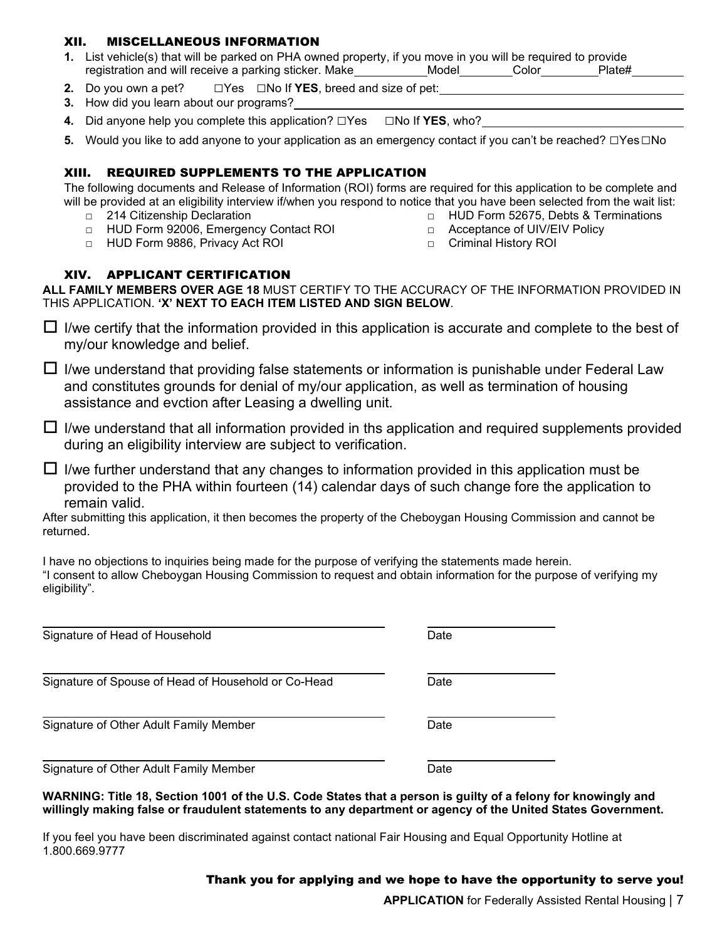#### XII. MISCELLANEOUS INFORMATION

- **1.** List vehicle(s) that will be parked on PHA owned property, if you move in you will be required to provide registration and will receive a parking sticker. Make\_\_\_\_\_\_\_\_\_\_\_Model\_\_\_\_\_\_\_\_Color\_\_\_\_\_\_\_\_Plate#\_\_
- **2.** Do you own a pet? □Yes □No If **YES**, breed and size of pet:
- **3.** How did you learn about our programs?
- **4.** Did anyone help you complete this application? □Yes □No If **YES**, who?
- **5.** Would you like to add anyone to your application as an emergency contact if you can't be reached? □Yes□No

#### XIII. REQUIRED SUPPLEMENTS TO THE APPLICATION

The following documents and Release of Information (ROI) forms are required for this application to be complete and will be provided at an eligibility interview if/when you respond to notice that you have been selected from the wait list:

- □ 214 Citizenship Declaration
- □ HUD Form 92006, Emergency Contact ROI
- □ HUD Form 9886, Privacy Act ROI

#### XIV. APPLICANT CERTIFICATION

**ALL FAMILY MEMBERS OVER AGE 18** MUST CERTIFY TO THE ACCURACY OF THE INFORMATION PROVIDED IN THIS APPLICATION. **'X' NEXT TO EACH ITEM LISTED AND SIGN BELOW**.

 $\Box$  I/we certify that the information provided in this application is accurate and complete to the best of my/our knowledge and belief.

 $\Box$  I/we understand that providing false statements or information is punishable under Federal Law and constitutes grounds for denial of my/our application, as well as termination of housing assistance and evction after Leasing a dwelling unit.

 $\Box$  I/we understand that all information provided in ths application and required supplements provided during an eligibility interview are subject to verification.

 $\Box$  I/we further understand that any changes to information provided in this application must be provided to the PHA within fourteen (14) calendar days of such change fore the application to remain valid.

After submitting this application, it then becomes the property of the Cheboygan Housing Commission and cannot be returned.

I have no objections to inquiries being made for the purpose of verifying the statements made herein. "I consent to allow Cheboygan Housing Commission to request and obtain information for the purpose of verifying my eligibility".

| Signature of Head of Household                      | Date |  |
|-----------------------------------------------------|------|--|
| Signature of Spouse of Head of Household or Co-Head | Date |  |
| Signature of Other Adult Family Member              | Date |  |
| Signature of Other Adult Family Member              | Date |  |

**WARNING: Title 18, Section 1001 of the U.S. Code States that a person is guilty of a felony for knowingly and willingly making false or fraudulent statements to any department or agency of the United States Government.** 

If you feel you have been discriminated against contact national Fair Housing and Equal Opportunity Hotline at 1.800.669.9777

Thank you for applying and we hope to have the opportunity to serve you!

**APPLICATION** for Federally Assisted Rental Housing | 7

- □ HUD Form 52675, Debts & Terminations □ Acceptance of UIV/EIV Policy
- □ Criminal History ROI
-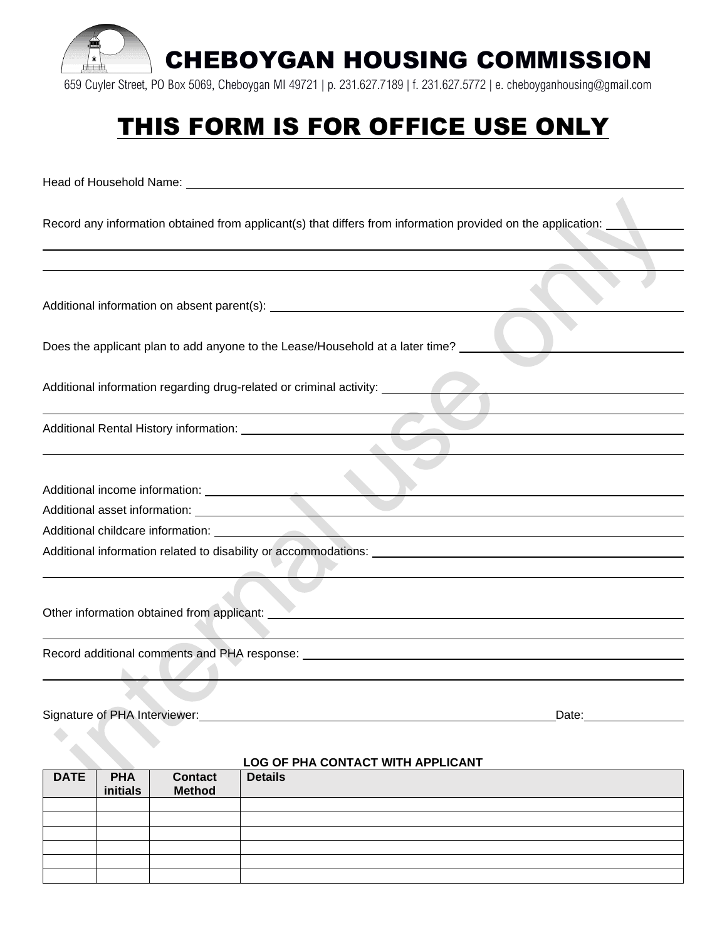

659 Cuyler Street, PO Box 5069, Cheboygan MI 49721 | p. 231.627.7189 | f. 231.627.5772 | e. cheboyganhousing@gmail.com

# THIS FORM IS FOR OFFICE USE ONLY

Head of Household Name: Record any information obtained from applicant(s) that differs from information provided on the application: Additional information on absent parent(s): Does the applicant plan to add anyone to the Lease/Household at a later time? Additional information regarding drug-related or criminal activity: Additional Rental History information: Additional income information: Additional asset information: Additional childcare information: Additional information related to disability or accommodations: Other information obtained from applicant: Record additional comments and PHA response:

#### Signature of PHA Interviewer: Date: Date: Date:

| LOG OF PHA CONTACT WITH APPLICANT |            |                |                |  |
|-----------------------------------|------------|----------------|----------------|--|
| <b>DATE</b>                       | <b>PHA</b> | <b>Contact</b> | <b>Details</b> |  |
|                                   | initials   | <b>Method</b>  |                |  |
|                                   |            |                |                |  |
|                                   |            |                |                |  |
|                                   |            |                |                |  |
|                                   |            |                |                |  |
|                                   |            |                |                |  |
|                                   |            |                |                |  |

#### **LOG OF PHA CONTACT WITH APPLICANT**